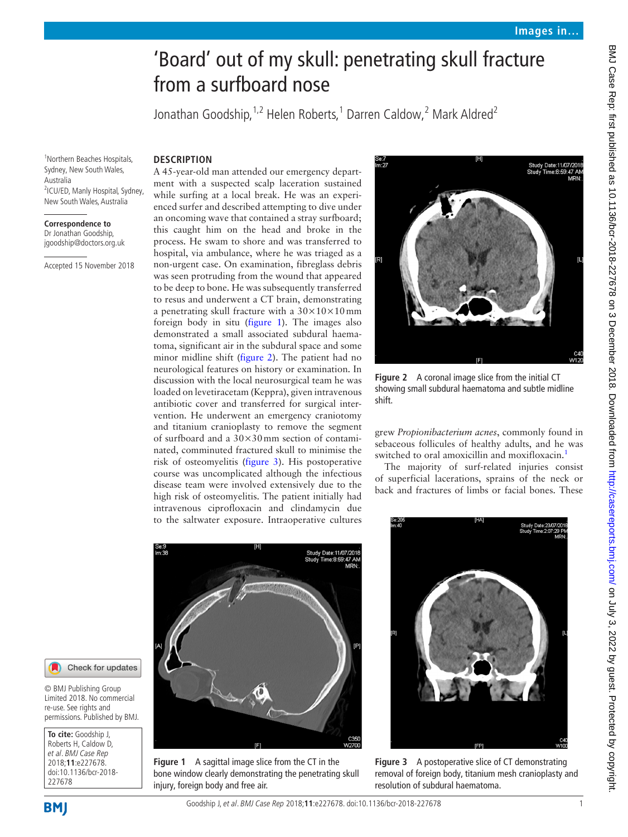# BMJ Case Rep: first published as 10.1136/bcr-2018-227678 on 3 December 2018. Downloaded from http://casereports.bmj.com/ on July 3, 2022 by guest. Protected by copyright BMJ Case Rep: first published as 10.1136/bcr-2018-227678 on 3 December 2018. Downloaded from <http://casereports.bmj.com/> on July 3, 2022 by guest. Protected by copyright.

# 'Board' out of my skull: penetrating skull fracture from a surfboard nose

Jonathan Goodship, <sup>1,2</sup> Helen Roberts, <sup>1</sup> Darren Caldow, <sup>2</sup> Mark Aldred<sup>2</sup>

# **Description**

1 Northern Beaches Hospitals, Sydney, New South Wales, Australia 2 ICU/ED, Manly Hospital, Sydney, New South Wales, Australia

**Correspondence to** Dr Jonathan Goodship, jgoodship@doctors.org.uk

Accepted 15 November 2018

# A 45-year-old man attended our emergency department with a suspected scalp laceration sustained while surfing at a local break. He was an experienced surfer and described attempting to dive under an oncoming wave that contained a stray surfboard; this caught him on the head and broke in the process. He swam to shore and was transferred to hospital, via ambulance, where he was triaged as a non-urgent case. On examination, fibreglass debris was seen protruding from the wound that appeared to be deep to bone. He was subsequently transferred to resus and underwent a CT brain, demonstrating a penetrating skull fracture with a  $30\times10\times10$  mm foreign body in situ [\(figure](#page-0-0) 1). The images also demonstrated a small associated subdural haematoma, significant air in the subdural space and some minor midline shift ([figure](#page-0-1) 2). The patient had no neurological features on history or examination. In discussion with the local neurosurgical team he was loaded on levetiracetam (Keppra), given intravenous antibiotic cover and transferred for surgical intervention. He underwent an emergency craniotomy and titanium cranioplasty to remove the segment of surfboard and a  $30\times30$  mm section of contaminated, comminuted fractured skull to minimise the risk of osteomyelitis ([figure](#page-0-2) 3). His postoperative course was uncomplicated although the infectious disease team were involved extensively due to the high risk of osteomyelitis. The patient initially had intravenous ciprofloxacin and clindamycin due to the saltwater exposure. Intraoperative cultures



**Figure 2** A coronal image slice from the initial CT showing small subdural haematoma and subtle midline shift.

<span id="page-0-1"></span>grew *Propionibacterium acnes*, commonly found in sebaceous follicules of healthy adults, and he was switched to oral amoxicillin and moxifloxacin.<sup>1</sup>

The majority of surf-related injuries consist of superficial lacerations, sprains of the neck or back and fractures of limbs or facial bones. These



**Figure 1** A sagittal image slice from the CT in the bone window clearly demonstrating the penetrating skull injury, foreign body and free air.

<span id="page-0-2"></span>

**Figure 3** A postoperative slice of CT demonstrating removal of foreign body, titanium mesh cranioplasty and resolution of subdural haematoma.



© BMJ Publishing Group Limited 2018. No commercial re-use. See rights and permissions. Published by BMJ.

<span id="page-0-0"></span>**To cite:** Goodship J, Roberts H, Caldow D, et al. BMJ Case Rep 2018;**11**:e227678. doi:10.1136/bcr-2018- 227678